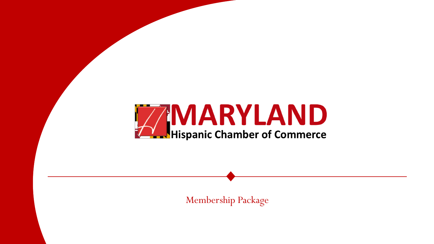

Membership Package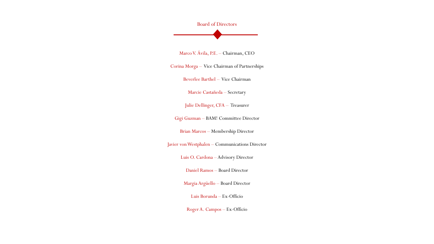Board of Directors

Marco V. Ávila, P.E. – Chairman, CEO

Corina Morga – Vice Chairman of Partnerships

Beverlee Barthel – Vice Chairman

Marcie Castañeda – Secretary

Julie Dellinger, CFA – Treasurer

Gigi Guzman – BAM! Committee Director

Brian Marcos – Membership Director

Javier von Westphalen – Communications Director

Luis O. Cardona – Advisory Director

Daniel Ramos – Board Director

MargiaArgüello – Board Director

Luis Borunda – Ex-Officio

Roger A. Campos – Ex-Officio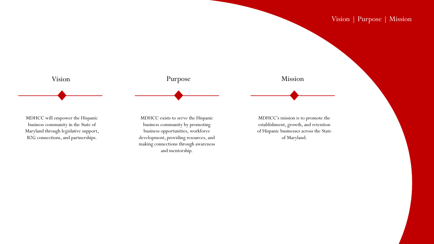

Vision | Purpose | Mission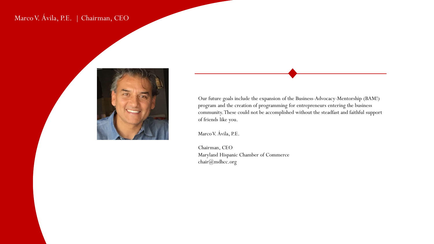# Marco V. Ávila, P.E. | Chairman, CEO



Our future goals include the expansion of the Business-Advocacy-Mentorship (BAM!) program and the creation of programming for entrepreneurs entering the business community. These could not be accomplished without the steadfast and faithful support of friends like you.

Marco V. Ávila, P.E.

Chairman, CEO Maryland Hispanic Chamber of Commerce chair@mdhcc.org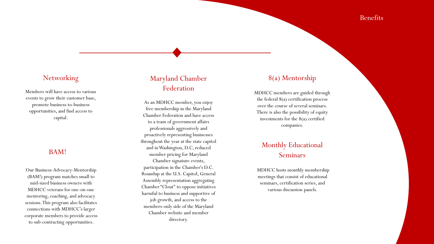Members will have access to various events to grow their customer base, promote business -to -business opportunities, and find access to capital.

### BAM!

Our Business -Advocacy -Mentorship (BAM!) program matches small to mid -sized business owners with MDHCC veterans for one -on -one mentoring, coaching, and advocacy sessions. This program also facilitates connections with MDHCC's larger corporate members to provide access to sub -contracting opportunities.

# Networking Maryland Chamber Federation

As an MDHCC member, you enjoy free membership in the Maryland Chamber Federation and have access to a team of government affairs professionals aggressively and proactively representing businesses throughout the year at the state capitol and in Washington, D.C, reduced member pricing for Maryland Chamber signature events, participation in the Chamber's D.C. Roundup at the U.S. Capitol, General Assembly representation aggregating Chamber "Clout" to oppose initiatives harmful to business and supportive of job growth, and access to the members -only side of the Maryland Chamber website and member directory.

## 8(a) Mentorship

MDHCC members are guided through the federal 8(a) certification process over the course of several seminars. There is also the possibility of equity investments for the 8(a) certified companies.

## Monthly Educational Seminars

MDHCC hosts monthly membership meetings that consist of educational seminars, certification series, and various discussion panels.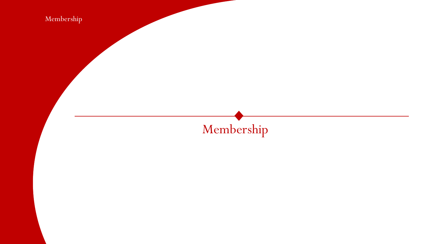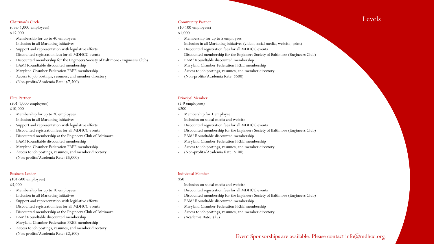(over 1,000 employees)

\$15,000

- Membership for up to 40 employees
- Inclusion in all Marketing initiatives
- Support and representation with legislative efforts
- Discounted registration fees for all MDHCC events
- Discounted membership for the Engineers Society of Baltimore (Engineers Club)
- BAM! Roundtable discounted membership
- Maryland Chamber Federation FREE membership
- Access to job postings, resumes, and member directory
- (Non-profits/Academia Rate: \$7,500)

#### Elite Partner

(501-1,000 employees)

\$10,000

- Membership for up to 20 employees

- Inclusion in all Marketing initiatives

- Support and representation with legislative efforts
- Discounted registration fees for all MDHCC events
- Discounted membership at the Engineers Club of Baltimore
- BAM! Roundtable discounted membership
- Maryland Chamber Federation FREE membership
- Access to job postings, resumes, and member directory
- (Non-profits/Academia Rate: \$5,000)

#### Business Leader

#### (101-500 employees)

\$5,000

- Membership for up to 10 employees
- Inclusion in all Marketing initiatives
- Support and representation with legislative efforts
- Discounted registration fees for all MDHCC events
- Discounted membership at the Engineers Club of Baltimore
- BAM! Roundtable discounted membership
- Maryland Chamber Federation FREE membership
- Access to job postings, resumes, and member directory
- (Non-profits/Academia Rate: \$2,500)

#### Community Partner

### (10-100 employees)

#### \$1,000

- Membership for up to 5 employees
- Inclusion in all Marketing initiatives (video, social media, website, print)
- Discounted registration fees for all MDHCC events
- Discounted membership for the Engineers Society of Baltimore (Engineers Club)
- BAM! Roundtable discounted membership
- Maryland Chamber Federation FREE membership
- Access to job postings, resumes, and member directory
- (Non-profits/Academia Rate: \$500)

#### Principal Member

#### (2-9 employees)

#### \$200

- Membership for 1 employee
- Inclusion on social media and website
- Discounted registration fees for all MDHCC events
- Discounted membership for the Engineers Society of Baltimore (Engineers Club)
- BAM! Roundtable discounted membership
- Maryland Chamber Federation FREE membership
- Access to job postings, resumes, and member directory
- (Non-profits/Academia Rate: \$100)

### Individual Member

#### \$50

- Inclusion on social media and website
- Discounted registration fees for all MDHCC events
- Discounted membership for the Engineers Society of Baltimore (Engineers Club)
- BAM! Roundtable discounted membership
- Maryland Chamber Federation FREE membership
- Access to job postings, resumes, and member directory
- (Academia Rate: \$25)

### Event Sponsorships are available. Please contact info@mdhcc.org.

# **Chairman's Circle Community Partner**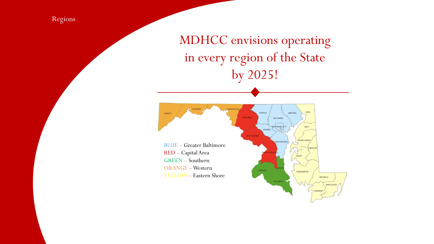Regions

MDHCC envisions operating in every region of the State by 2025!

CARROLL HARFORD CECIL GARRETT BALTIMORE LEIMORE CITY KENT QUEEN ANNE'S NNE ARUNDEL BLUE – Greater Baltimore RED – Capital Area GREEN – Southern ORANGE –Western **HARLES** DORCHESTER YELLOW – Eastern Shore**WCOMICO** 

WORCESTER

SOMERSET